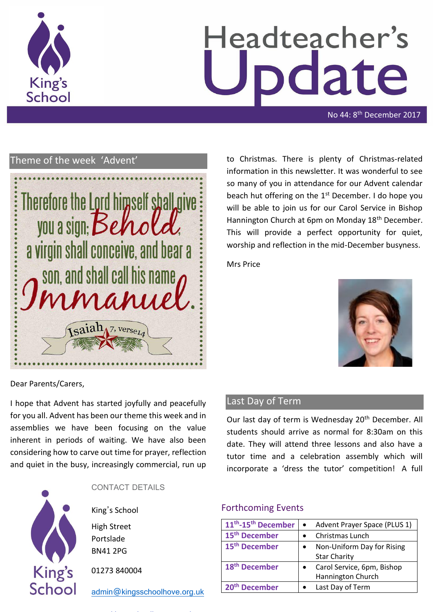

# Headteacher's date

No 44: 8<sup>th</sup> December 2017

# Theme of the week 'Advent'



to Christmas. There is plenty of Christmas-related information in this newsletter. It was wonderful to see so many of you in attendance for our Advent calendar beach hut offering on the 1<sup>st</sup> December. I do hope you will be able to join us for our Carol Service in Bishop Hannington Church at 6pm on Monday 18<sup>th</sup> December. This will provide a perfect opportunity for quiet, worship and reflection in the mid-December busyness.

Mrs Price



Dear Parents/Carers,

I hope that Advent has started joyfully and peacefully for you all. Advent has been our theme this week and in assemblies we have been focusing on the value inherent in periods of waiting. We have also been considering how to carve out time for prayer, reflection and quiet in the busy, increasingly commercial, run up



CONTACT DETAILS

King's School High Street

Portslade BN41 2PG

01273 840004

[admin@kingsschoolhove.org.uk](mailto:admin@kingsschoolhove.org.uk)

# Last Day of Term

Our last day of term is Wednesday 20<sup>th</sup> December. All students should arrive as normal for 8:30am on this date. They will attend three lessons and also have a tutor time and a celebration assembly which will incorporate a 'dress the tutor' competition! A full

### Forthcoming Events

| 11 <sup>th</sup> -15 <sup>th</sup> December | Advent Prayer Space (PLUS 1) |
|---------------------------------------------|------------------------------|
| 15 <sup>th</sup> December                   | Christmas Lunch              |
| 15 <sup>th</sup> December                   | Non-Uniform Day for Rising   |
|                                             | <b>Star Charity</b>          |
| 18 <sup>th</sup> December                   | Carol Service, 6pm, Bishop   |
|                                             | Hannington Church            |
| <sup>th</sup> December                      | Last Day of Term             |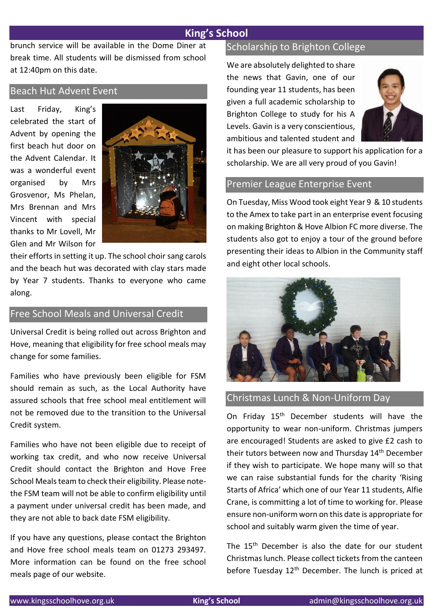# **King's School**

brunch service will be available in the Dome Diner at break time. All students will be dismissed from school at 12:40pm on this date.

### Beach Hut Advent Event

Last Friday, King's celebrated the start of Advent by opening the first beach hut door on the Advent Calendar. It was a wonderful event organised by Mrs Grosvenor, Ms Phelan, Mrs Brennan and Mrs Vincent with special thanks to Mr Lovell, Mr Glen and Mr Wilson for



their efforts in setting it up. The school choir sang carols and the beach hut was decorated with clay stars made by Year 7 students. Thanks to everyone who came along.

# Free School Meals and Universal Credit

Universal Credit is being rolled out across Brighton and Hove, meaning that eligibility for free school meals may change for some families.

Families who have previously been eligible for FSM should remain as such, as the Local Authority have assured schools that free school meal entitlement will not be removed due to the transition to the Universal Credit system.

Families who have not been eligible due to receipt of working tax credit, and who now receive Universal Credit should contact the Brighton and Hove Free School Meals team to check their eligibility. Please notethe FSM team will not be able to confirm eligibility until a payment under universal credit has been made, and they are not able to back date FSM eligibility.

If you have any questions, please contact the Brighton and Hove free school meals team on 01273 293497. More information can be found on the free school meals page of our website.

### Scholarship to Brighton College

We are absolutely delighted to share the news that Gavin, one of our founding year 11 students, has been given a full academic scholarship to Brighton College to study for his A Levels. Gavin is a very conscientious, ambitious and talented student and



it has been our pleasure to support his application for a scholarship. We are all very proud of you Gavin!

### Premier League Enterprise Event

On Tuesday, Miss Wood took eight Year 9 & 10 students to the Amex to take part in an enterprise event focusing on making Brighton & Hove Albion FC more diverse. The students also got to enjoy a tour of the ground before presenting their ideas to Albion in the Community staff and eight other local schools.



# Christmas Lunch & Non-Uniform Day

On Friday 15<sup>th</sup> December students will have the opportunity to wear non-uniform. Christmas jumpers are encouraged! Students are asked to give £2 cash to their tutors between now and Thursday 14<sup>th</sup> December if they wish to participate. We hope many will so that we can raise substantial funds for the charity 'Rising Starts of Africa' which one of our Year 11 students, Alfie Crane, is committing a lot of time to working for. Please ensure non-uniform worn on this date is appropriate for school and suitably warm given the time of year.

The 15<sup>th</sup> December is also the date for our student Christmas lunch. Please collect tickets from the canteen before Tuesday 12<sup>th</sup> December. The lunch is priced at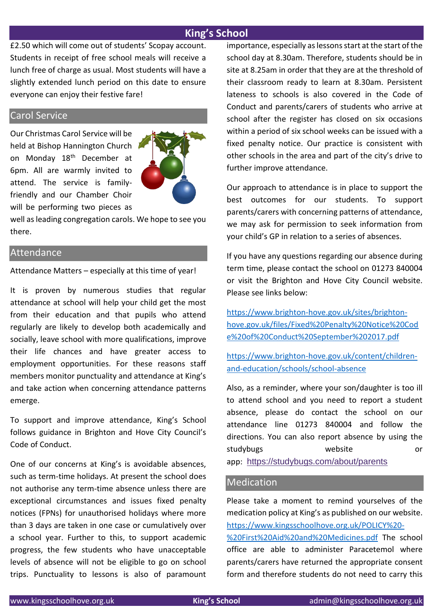# **King's School**

£2.50 which will come out of students' Scopay account. Students in receipt of free school meals will receive a lunch free of charge as usual. Most students will have a slightly extended lunch period on this date to ensure everyone can enjoy their festive fare!

# Carol Service

Our Christmas Carol Service will be held at Bishop Hannington Church on Monday 18<sup>th</sup> December at 6pm. All are warmly invited to attend. The service is familyfriendly and our Chamber Choir will be performing two pieces as



well as leading congregation carols. We hope to see you there.

# Attendance

Attendance Matters – especially at this time of year!

It is proven by numerous studies that regular attendance at school will help your child get the most from their education and that pupils who attend regularly are likely to develop both academically and socially, leave school with more qualifications, improve their life chances and have greater access to employment opportunities. For these reasons staff members monitor punctuality and attendance at King's and take action when concerning attendance patterns emerge.

To support and improve attendance, King's School follows guidance in Brighton and Hove City Council's Code of Conduct.

One of our concerns at King's is avoidable absences, such as term-time holidays. At present the school does not authorise any term-time absence unless there are exceptional circumstances and issues fixed penalty notices (FPNs) for unauthorised holidays where more than 3 days are taken in one case or cumulatively over a school year. Further to this, to support academic progress, the few students who have unacceptable levels of absence will not be eligible to go on school trips. Punctuality to lessons is also of paramount importance, especially as lessons start at the start of the school day at 8.30am. Therefore, students should be in site at 8.25am in order that they are at the threshold of their classroom ready to learn at 8.30am. Persistent lateness to schools is also covered in the Code of Conduct and parents/carers of students who arrive at school after the register has closed on six occasions within a period of six school weeks can be issued with a fixed penalty notice. Our practice is consistent with other schools in the area and part of the city's drive to further improve attendance.

Our approach to attendance is in place to support the best outcomes for our students. To support parents/carers with concerning patterns of attendance, we may ask for permission to seek information from your child's GP in relation to a series of absences.

If you have any questions regarding our absence during term time, please contact the school on 01273 840004 or visit the Brighton and Hove City Council website. Please see links below:

[https://www.brighton-hove.gov.uk/sites/brighton](https://www.brighton-hove.gov.uk/sites/brighton-hove.gov.uk/files/Fixed%20Penalty%20Notice%20Code%20of%20Conduct%20September%202017.pdf)[hove.gov.uk/files/Fixed%20Penalty%20Notice%20Cod](https://www.brighton-hove.gov.uk/sites/brighton-hove.gov.uk/files/Fixed%20Penalty%20Notice%20Code%20of%20Conduct%20September%202017.pdf) [e%20of%20Conduct%20September%202017.pdf](https://www.brighton-hove.gov.uk/sites/brighton-hove.gov.uk/files/Fixed%20Penalty%20Notice%20Code%20of%20Conduct%20September%202017.pdf)

[https://www.brighton-hove.gov.uk/content/children](https://www.brighton-hove.gov.uk/content/children-and-education/schools/school-absence)[and-education/schools/school-absence](https://www.brighton-hove.gov.uk/content/children-and-education/schools/school-absence)

Also, as a reminder, where your son/daughter is too ill to attend school and you need to report a student absence, please do contact the school on our attendance line 01273 840004 and follow the directions. You can also report absence by using the studybugs website or app: [https://studybugs.com/about/parents](https://studybugs.com/about/parents?web=1)

# **Medication**

Please take a moment to remind yourselves of the medication policy at King's as published on our website. [https://www.kingsschoolhove.org.uk/POLICY%20-](https://www.kingsschoolhove.org.uk/POLICY%20-%20First%20Aid%20and%20Medicines.pdf) [%20First%20Aid%20and%20Medicines.pdf](https://www.kingsschoolhove.org.uk/POLICY%20-%20First%20Aid%20and%20Medicines.pdf) The school office are able to administer Paracetemol where parents/carers have returned the appropriate consent form and therefore students do not need to carry this